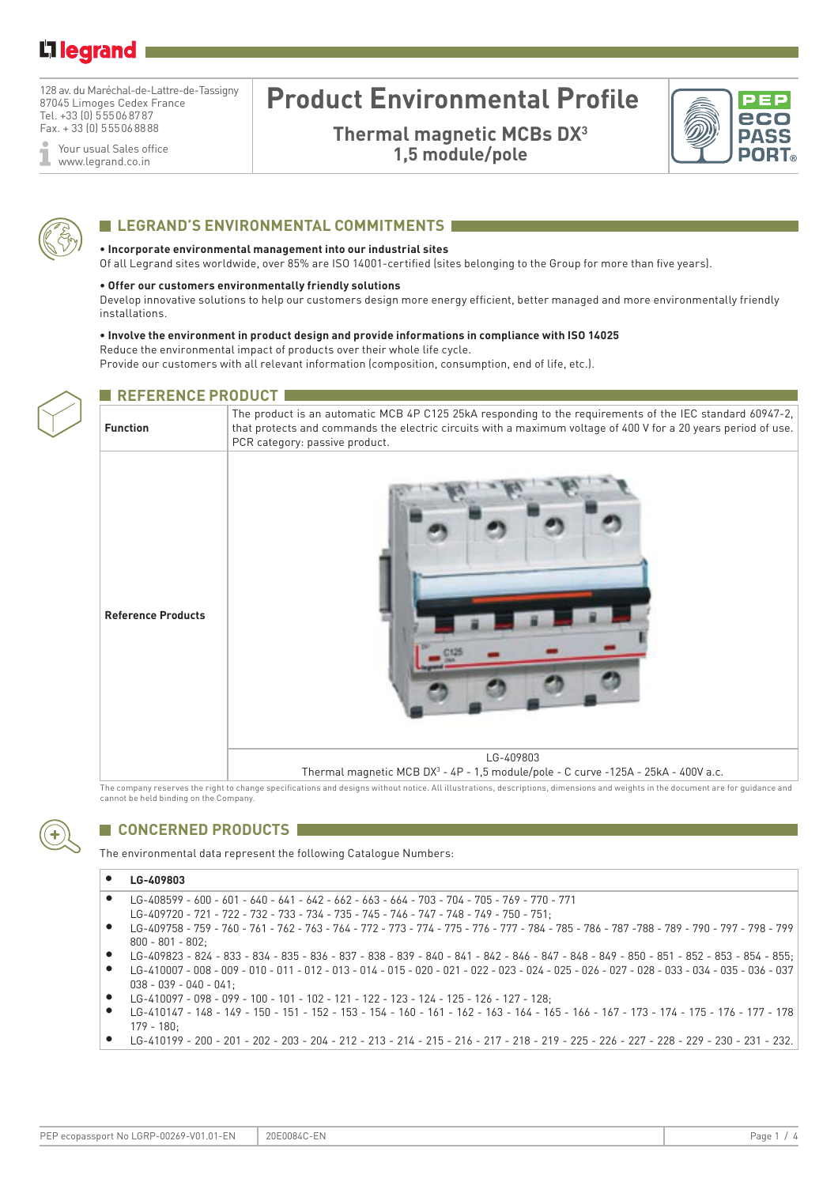128 av. du Maréchal-de-Lattre-de-Tassigny 87045 Limoges Cedex France Tel. +33 (0) 5 55 06 87 87 Fax. + 33 (0) 5 55 06 88 88

Your usual Sales office ī www.legrand.co.in

# **Product Environmental Profile**

**Thermal magnetic MCBs DX3 1,5 module/pole**





### **ELEGRAND'S ENVIRONMENTAL COMMITMENTS**

#### **• Incorporate environmental management into our industrial sites**

Of all Legrand sites worldwide, over 85% are ISO 14001-certified (sites belonging to the Group for more than five years).

#### **• Offer our customers environmentally friendly solutions**

**REFERENCE PRODUCT** 

Develop innovative solutions to help our customers design more energy efficient, better managed and more environmentally friendly installations.

#### **• Involve the environment in product design and provide informations in compliance with ISO 14025**

Reduce the environmental impact of products over their whole life cycle.

Provide our customers with all relevant information (composition, consumption, end of life, etc.).



| <b>Function</b>           | The product is an automatic MCB 4P C125 25kA responding to the requirements of the IEC standard 60947-2,<br>that protects and commands the electric circuits with a maximum voltage of 400 V for a 20 years period of use.<br>PCR category: passive product. |  |  |  |  |
|---------------------------|--------------------------------------------------------------------------------------------------------------------------------------------------------------------------------------------------------------------------------------------------------------|--|--|--|--|
| <b>Reference Products</b> |                                                                                                                                                                                                                                                              |  |  |  |  |
|                           | LG-409803<br>Thermal magnetic MCB DX <sup>3</sup> - 4P - 1,5 module/pole - C curve -125A - 25kA - 400V a.c.                                                                                                                                                  |  |  |  |  |

The company reserves the right to change specifications and designs without notice. All illustrations, descriptions, dimensions and weights in the document are for quidance and cannot be held binding on the Company.



### **CONCERNED PRODUCTS**

The environmental data represent the following Catalogue Numbers:

#### **• LG-409803**

- LG-408599 600 601 640 641 642 662 663 664 703 704 705 769 770 771
- LG-409720 721 722 732 733 734 735 745 746 747 748 749 750 751;
- LG-409758 759 760 761 762 763 764 772 773 774 775 776 777 784 785 786 787 -788 789 790 797 798 799 800 - 801 - 802;
- LG-409823 824 833 834 835 836 837 838 839 840 841 842 846 847 848 849 850 851 852 853 854 855;
- LG-410007 008 009 010 011 012 013 014 015 020 021 022 023 024 025 026 027 028 033 034 035 036 037 038 - 039 - 040 - 041;
- LG-410097 098 099 100 101 102 121 122 123 124 125 126 127 128;
- LG-410147 148 149 150 151 152 153 154 160 161 162 163 164 165 166 167 173 174 175 176 177 178 179 - 180;
- LG-410199 200 201 202 203 204 212 213 214 215 216 217 218 219 225 226 227 228 229 230 231 232.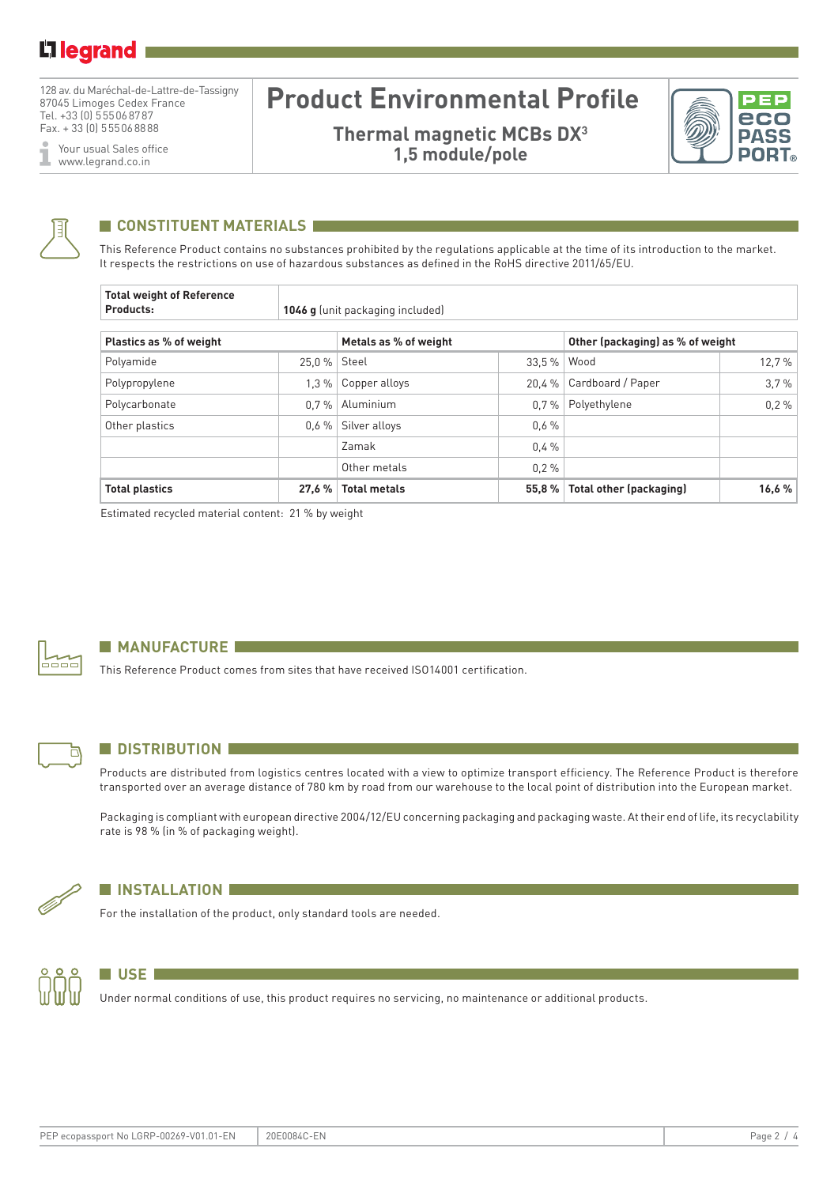128 av. du Maréchal-de-Lattre-de-Tassigny 87045 Limoges Cedex France Tel. +33 (0) 5 55 06 87 87 Fax. + 33 (0) 5 55 06 88 88

Your usual Sales office I www.legrand.co.in

# **Product Environmental Profile**

**Thermal magnetic MCBs DX3 1,5 module/pole**





### **CONSTITUENT MATERIALS**

This Reference Product contains no substances prohibited by the regulations applicable at the time of its introduction to the market. It respects the restrictions on use of hazardous substances as defined in the RoHS directive 2011/65/EU.

| <b>Total weight of Reference</b><br>Products: | <b>1046 g</b> (unit packaging included) |                       |        |                                  |       |  |  |  |
|-----------------------------------------------|-----------------------------------------|-----------------------|--------|----------------------------------|-------|--|--|--|
| Plastics as % of weight                       |                                         | Metals as % of weight |        | Other (packaging) as % of weight |       |  |  |  |
| Polyamide                                     | 25.0 %   Steel                          |                       | 33.5%  | Wood                             | 12.7% |  |  |  |
| Polypropylene                                 | 1.3%                                    | Copper alloys         | 20.4 % | Cardboard / Paper                | 3.7%  |  |  |  |
| Polycarbonate                                 | 0.7%                                    | Aluminium             | 0.7%   | Polyethylene                     | 0.2%  |  |  |  |
| Other plastics                                | $0.6\%$                                 | Silver alloys         | 0.6%   |                                  |       |  |  |  |
|                                               |                                         | Zamak                 | 0.4%   |                                  |       |  |  |  |
|                                               |                                         | Other metals          | 0.2%   |                                  |       |  |  |  |
| <b>Total plastics</b>                         | 27.6%                                   | <b>Total metals</b>   | 55.8%  | <b>Total other (packaging)</b>   | 16,6% |  |  |  |

Estimated recycled material content: 21 % by weight



### **MANUFACTURE**

This Reference Product comes from sites that have received ISO14001 certification.



### **N** DISTRIBUTION

Products are distributed from logistics centres located with a view to optimize transport efficiency. The Reference Product is therefore transported over an average distance of 780 km by road from our warehouse to the local point of distribution into the European market.

Packaging is compliant with european directive 2004/12/EU concerning packaging and packaging waste. At their end of life, its recyclability rate is 98 % (in % of packaging weight).



### **N** INSTALLATION

For the installation of the product, only standard tools are needed.



### **USE**

Under normal conditions of use, this product requires no servicing, no maintenance or additional products.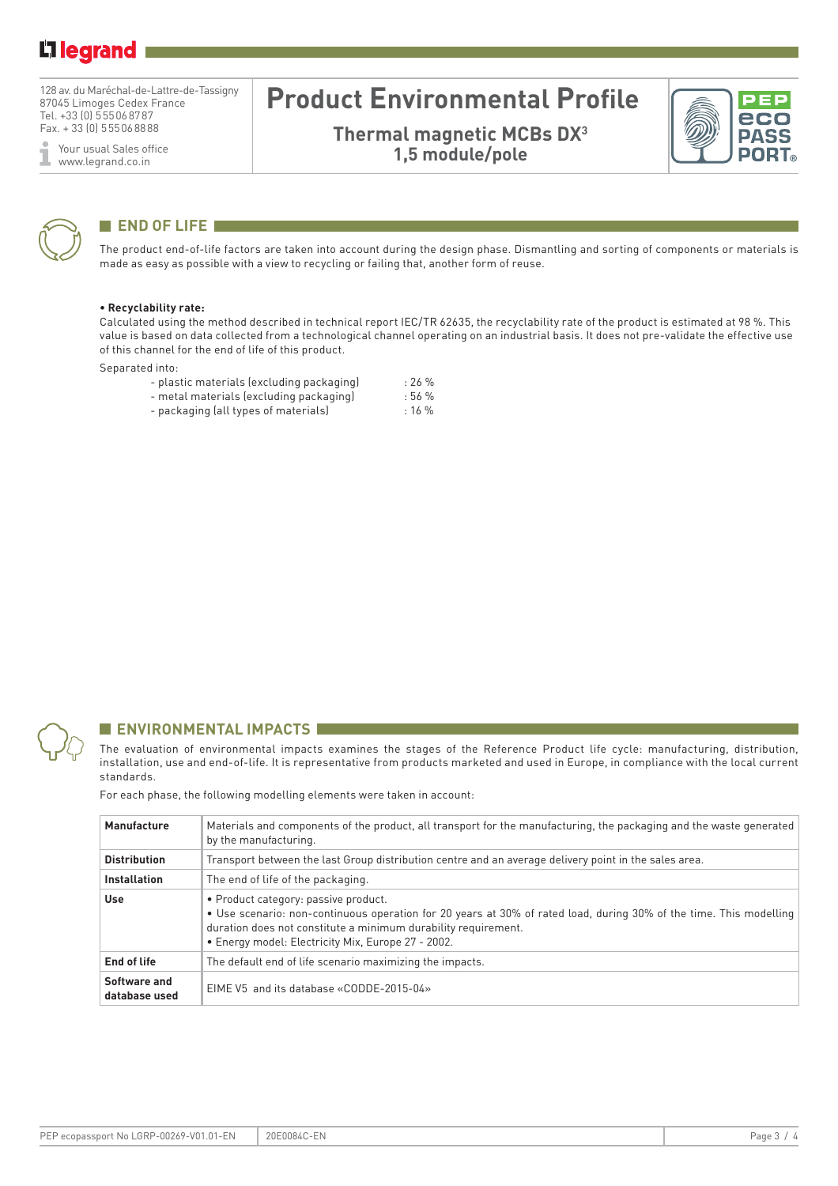128 av. du Maréchal-de-Lattre-de-Tassigny 87045 Limoges Cedex France Tel. +33 (0) 5 55 06 87 87 Fax. + 33 (0) 5 55 06 88 88

Your usual Sales office ĭ www.legrand.co.in

# **Product Environmental Profile**

**Thermal magnetic MCBs DX3 1,5 module/pole**





### **END OF LIFE**

The product end-of-life factors are taken into account during the design phase. Dismantling and sorting of components or materials is made as easy as possible with a view to recycling or failing that, another form of reuse.

#### **• Recyclability rate:**

Calculated using the method described in technical report IEC/TR 62635, the recyclability rate of the product is estimated at 98 %. This value is based on data collected from a technological channel operating on an industrial basis. It does not pre-validate the effective use of this channel for the end of life of this product.

Separated into:

| - plastic materials (excluding packaging) | $: 26 \%$ |
|-------------------------------------------|-----------|
| - metal materials (excluding packaging)   | : 56 %    |
| - packaging (all types of materials)      | $: 16 \%$ |



### **ENVIRONMENTAL IMPACTS**

The evaluation of environmental impacts examines the stages of the Reference Product life cycle: manufacturing, distribution, installation, use and end-of-life. It is representative from products marketed and used in Europe, in compliance with the local current standards.

For each phase, the following modelling elements were taken in account:

| Manufacture                   | Materials and components of the product, all transport for the manufacturing, the packaging and the waste generated<br>by the manufacturing.                                                                                                                                       |
|-------------------------------|------------------------------------------------------------------------------------------------------------------------------------------------------------------------------------------------------------------------------------------------------------------------------------|
| <b>Distribution</b>           | Transport between the last Group distribution centre and an average delivery point in the sales area.                                                                                                                                                                              |
| <b>Installation</b>           | The end of life of the packaging.                                                                                                                                                                                                                                                  |
| <b>Use</b>                    | • Product category: passive product.<br>• Use scenario: non-continuous operation for 20 years at 30% of rated load, during 30% of the time. This modelling<br>duration does not constitute a minimum durability requirement.<br>• Energy model: Electricity Mix, Europe 27 - 2002. |
| <b>End of life</b>            | The default end of life scenario maximizing the impacts.                                                                                                                                                                                                                           |
| Software and<br>database used | EIME V5 and its database «CODDE-2015-04»                                                                                                                                                                                                                                           |